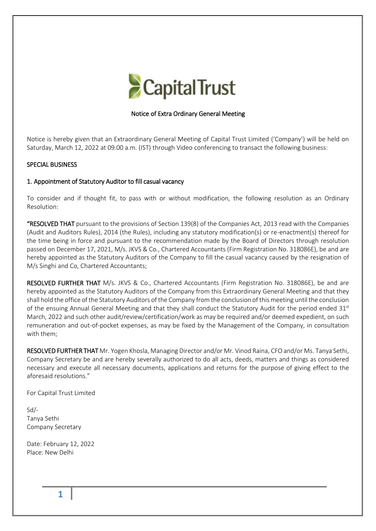

# Notice of Extra Ordinary General Meeting

Notice is hereby given that an Extraordinary General Meeting of Capital Trust Limited ('Company') will be held on Saturday, March 12, 2022 at 09.00 a.m. (IST) through Video conferencing to transact the following business:

## SPECIAL BUSINESS

### 1. Appointment of Statutory Auditor to fill casual vacancy

To consider and if thought fit, to pass with or without modification, the following resolution as an Ordinary Resolution:

"RESOLVED THAT pursuant to the provisions of Section 139(8) of the Companies Act, 2013 read with the Companies (Audit and Auditors Rules), 2014 (the Rules), including any statutory modification(s) or re-enactment(s) thereof for the time being in force and pursuant to the recommendation made by the Board of Directors through resolution passed on December 17, 2021, M/s. JKVS & Co., Chartered Accountants (Firm Registration No. 318086E), be and are hereby appointed as the Statutory Auditors of the Company to fill the casual vacancy caused by the resignation of M/s Singhi and Co, Chartered Accountants;

RESOLVED FURTHER THAT M/s. JKVS & Co., Chartered Accountants (Firm Registration No. 318086E), be and are hereby appointed as the Statutory Auditors of the Company from this Extraordinary General Meeting and that they shall hold the office of the Statutory Auditors of the Company from the conclusion of this meeting until the conclusion of the ensuing Annual General Meeting and that they shall conduct the Statutory Audit for the period ended 31st March, 2022 and such other audit/review/certification/work as may be required and/or deemed expedient, on such remuneration and out-of-pocket expenses, as may be fixed by the Management of the Company, in consultation with them;

RESOLVED FURTHER THAT Mr. Yogen Khosla, Managing Director and/or Mr. Vinod Raina, CFO and/or Ms. Tanya Sethi, Company Secretary be and are hereby severally authorized to do all acts, deeds, matters and things as considered necessary and execute all necessary documents, applications and returns for the purpose of giving effect to the aforesaid resolutions."

For Capital Trust Limited

Sd/- Tanya Sethi Company Secretary

Date: February 12, 2022 Place: New Delhi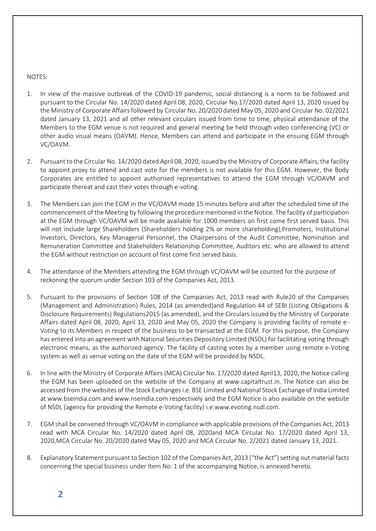#### NOTES:

- 1. In view of the massive outbreak of the COVID-19 pandemic, social distancing is a norm to be followed and pursuant to the Circular No. 14/2020 dated April 08, 2020, Circular No.17/2020 dated April 13, 2020 issued by the Ministry of Corporate Affairs followed by Circular No. 20/2020 dated May 05, 2020 and Circular No. 02/2021 dated January 13, 2021 and all other relevant circulars issued from time to time, physical attendance of the Members to the EGM venue is not required and general meeting be held through video conferencing (VC) or other audio visual means (OAVM). Hence, Members can attend and participate in the ensuing EGM through VC/OAVM.
- 2. Pursuant to the Circular No. 14/2020 dated April 08, 2020, issued by the Ministry of Corporate Affairs, the facility to appoint proxy to attend and cast vote for the members is not available for this EGM. However, the Body Corporates are entitled to appoint authorised representatives to attend the EGM through VC/OAVM and participate thereat and cast their votes through e-voting.
- 3. The Members can join the EGM in the VC/OAVM mode 15 minutes before and after the scheduled time of the commencement of the Meeting by following the procedure mentioned in the Notice. The facility of participation at the EGM through VC/OAVM will be made available for 1000 members on first come first served basis. This will not include large Shareholders (Shareholders holding 2% or more shareholding),Promoters, Institutional Investors, Directors, Key Managerial Personnel, the Chairpersons of the Audit Committee, Nomination and Remuneration Committee and Stakeholders Relationship Committee, Auditors etc. who are allowed to attend the EGM without restriction on account of first come first served basis.
- 4. The attendance of the Members attending the EGM through VC/OAVM will be counted for the purpose of reckoning the quorum under Section 103 of the Companies Act, 2013.
- 5. Pursuant to the provisions of Section 108 of the Companies Act, 2013 read with Rule20 of the Companies (Management and Administration) Rules, 2014 (as amended)and Regulation 44 of SEBI (Listing Obligations & Disclosure Requirements) Regulations2015 (as amended), and the Circulars issued by the Ministry of Corporate Affairs dated April 08, 2020, April 13, 2020 and May 05, 2020 the Company is providing facility of remote e-Voting to its Members in respect of the business to be transacted at the EGM. For this purpose, the Company has entered into an agreement with National Securities Depository Limited (NSDL) for facilitating voting through electronic means, as the authorized agency. The facility of casting votes by a member using remote e-Voting system as well as venue voting on the date of the EGM will be provided by NSDL.
- 6. In line with the Ministry of Corporate Affairs (MCA) Circular No. 17/2020 dated April13, 2020, the Notice calling the EGM has been uploaded on the website of the Company at www.capitaltrust.in. The Notice can also be accessed from the websites of the Stock Exchanges i.e. BSE Limited and National Stock Exchange of India Limited at www.bseindia.com and www.nseindia.com respectively and the EGM Notice is also available on the website of NSDL (agency for providing the Remote e-Voting facility) i.e.www.evoting.nsdl.com.
- 7. EGM shall be convened through VC/OAVM in compliance with applicable provisions of the Companies Act, 2013 read with MCA Circular No. 14/2020 dated April 08, 2020and MCA Circular No. 17/2020 dated April 13, 2020,MCA Circular No. 20/2020 dated May 05, 2020 and MCA Circular No. 2/2021 dated January 13, 2021.
- 8. Explanatory Statement pursuant to Section 102 of the Companies Act, 2013 ("the Act") setting out material facts concerning the special business under Item No. 1 of the accompanying Notice, is annexed hereto.

**2**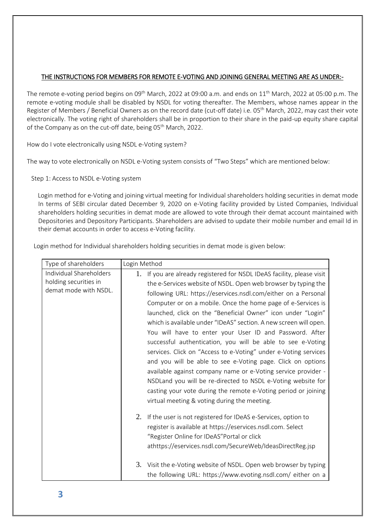# THE INSTRUCTIONS FOR MEMBERS FOR REMOTE E-VOTING AND JOINING GENERAL MEETING ARE AS UNDER:-

The remote e-voting period begins on 09<sup>th</sup> March, 2022 at 09:00 a.m. and ends on  $11^{\rm th}$  March, 2022 at 05:00 p.m. The remote e-voting module shall be disabled by NSDL for voting thereafter. The Members, whose names appear in the Register of Members / Beneficial Owners as on the record date (cut-off date) i.e. 05<sup>th</sup> March, 2022, may cast their vote electronically. The voting right of shareholders shall be in proportion to their share in the paid-up equity share capital of the Company as on the cut-off date, being 05<sup>th</sup> March, 2022.

How do I vote electronically using NSDL e-Voting system?

The way to vote electronically on NSDL e-Voting system consists of "Two Steps" which are mentioned below:

Step 1: Access to NSDL e-Voting system

 Login method for e-Voting and joining virtual meeting for Individual shareholders holding securities in demat mode In terms of SEBI circular dated December 9, 2020 on e-Voting facility provided by Listed Companies, Individual shareholders holding securities in demat mode are allowed to vote through their demat account maintained with Depositories and Depository Participants. Shareholders are advised to update their mobile number and email Id in their demat accounts in order to access e-Voting facility.

Login method for Individual shareholders holding securities in demat mode is given below:

| Type of shareholders                                                      | Login Method   |                                                                                                                                                                                                                                                                                                                                                                                                                                                                                                                                                                                                                                                                                                                                                                                                                                                                                                                             |
|---------------------------------------------------------------------------|----------------|-----------------------------------------------------------------------------------------------------------------------------------------------------------------------------------------------------------------------------------------------------------------------------------------------------------------------------------------------------------------------------------------------------------------------------------------------------------------------------------------------------------------------------------------------------------------------------------------------------------------------------------------------------------------------------------------------------------------------------------------------------------------------------------------------------------------------------------------------------------------------------------------------------------------------------|
| Individual Shareholders<br>holding securities in<br>demat mode with NSDL. | $\mathbf{1}$ . | If you are already registered for NSDL IDeAS facility, please visit<br>the e-Services website of NSDL. Open web browser by typing the<br>following URL: https://eservices.nsdl.com/either on a Personal<br>Computer or on a mobile. Once the home page of e-Services is<br>launched, click on the "Beneficial Owner" icon under "Login"<br>which is available under "IDeAS" section. A new screen will open.<br>You will have to enter your User ID and Password. After<br>successful authentication, you will be able to see e-Voting<br>services. Click on "Access to e-Voting" under e-Voting services<br>and you will be able to see e-Voting page. Click on options<br>available against company name or e-Voting service provider -<br>NSDLand you will be re-directed to NSDL e-Voting website for<br>casting your vote during the remote e-Voting period or joining<br>virtual meeting & voting during the meeting. |
|                                                                           | 2.             | If the user is not registered for IDeAS e-Services, option to<br>register is available at https://eservices.nsdl.com. Select<br>"Register Online for IDeAS"Portal or click<br>athttps://eservices.nsdl.com/SecureWeb/IdeasDirectReg.jsp                                                                                                                                                                                                                                                                                                                                                                                                                                                                                                                                                                                                                                                                                     |
|                                                                           |                | 3. Visit the e-Voting website of NSDL. Open web browser by typing<br>the following URL: https://www.evoting.nsdl.com/ either on a                                                                                                                                                                                                                                                                                                                                                                                                                                                                                                                                                                                                                                                                                                                                                                                           |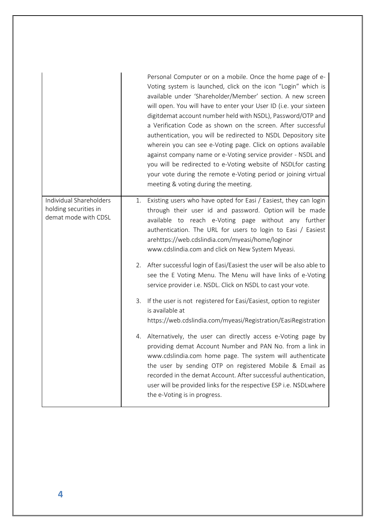|                                                                          |    | Personal Computer or on a mobile. Once the home page of e-<br>Voting system is launched, click on the icon "Login" which is<br>available under 'Shareholder/Member' section. A new screen<br>will open. You will have to enter your User ID (i.e. your sixteen<br>digitdemat account number held with NSDL), Password/OTP and<br>a Verification Code as shown on the screen. After successful<br>authentication, you will be redirected to NSDL Depository site<br>wherein you can see e-Voting page. Click on options available<br>against company name or e-Voting service provider - NSDL and<br>you will be redirected to e-Voting website of NSDLfor casting<br>your vote during the remote e-Voting period or joining virtual<br>meeting & voting during the meeting. |
|--------------------------------------------------------------------------|----|-----------------------------------------------------------------------------------------------------------------------------------------------------------------------------------------------------------------------------------------------------------------------------------------------------------------------------------------------------------------------------------------------------------------------------------------------------------------------------------------------------------------------------------------------------------------------------------------------------------------------------------------------------------------------------------------------------------------------------------------------------------------------------|
| Individual Shareholders<br>holding securities in<br>demat mode with CDSL | 1. | Existing users who have opted for Easi / Easiest, they can login<br>through their user id and password. Option will be made<br>available to reach e-Voting page without any further<br>authentication. The URL for users to login to Easi / Easiest<br>arehttps://web.cdslindia.com/myeasi/home/loginor<br>www.cdslindia.com and click on New System Myeasi.                                                                                                                                                                                                                                                                                                                                                                                                                |
|                                                                          |    | 2. After successful login of Easi/Easiest the user will be also able to<br>see the E Voting Menu. The Menu will have links of e-Voting<br>service provider i.e. NSDL. Click on NSDL to cast your vote.                                                                                                                                                                                                                                                                                                                                                                                                                                                                                                                                                                      |
|                                                                          | 3. | If the user is not registered for Easi/Easiest, option to register<br>is available at<br>https://web.cdslindia.com/myeasi/Registration/EasiRegistration                                                                                                                                                                                                                                                                                                                                                                                                                                                                                                                                                                                                                     |
|                                                                          |    | 4. Alternatively, the user can directly access e-Voting page by<br>providing demat Account Number and PAN No. from a link in<br>www.cdslindia.com home page. The system will authenticate<br>the user by sending OTP on registered Mobile & Email as<br>recorded in the demat Account. After successful authentication,<br>user will be provided links for the respective ESP i.e. NSDLwhere<br>the e-Voting is in progress.                                                                                                                                                                                                                                                                                                                                                |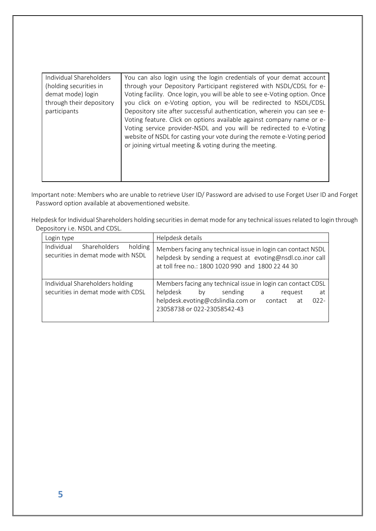| Individual Shareholders<br>(holding securities in<br>demat mode) login<br>through their depository<br>participants | You can also login using the login credentials of your demat account<br>through your Depository Participant registered with NSDL/CDSL for e-<br>Voting facility. Once login, you will be able to see e-Voting option. Once<br>you click on e-Voting option, you will be redirected to NSDL/CDSL<br>Depository site after successful authentication, wherein you can see e-<br>Voting feature. Click on options available against company name or e-<br>Voting service provider-NSDL and you will be redirected to e-Voting<br>website of NSDL for casting your vote during the remote e-Voting period<br>or joining virtual meeting & voting during the meeting. |
|--------------------------------------------------------------------------------------------------------------------|------------------------------------------------------------------------------------------------------------------------------------------------------------------------------------------------------------------------------------------------------------------------------------------------------------------------------------------------------------------------------------------------------------------------------------------------------------------------------------------------------------------------------------------------------------------------------------------------------------------------------------------------------------------|
|--------------------------------------------------------------------------------------------------------------------|------------------------------------------------------------------------------------------------------------------------------------------------------------------------------------------------------------------------------------------------------------------------------------------------------------------------------------------------------------------------------------------------------------------------------------------------------------------------------------------------------------------------------------------------------------------------------------------------------------------------------------------------------------------|

Important note: Members who are unable to retrieve User ID/ Password are advised to use Forget User ID and Forget Password option available at abovementioned website.

Helpdesk for Individual Shareholders holding securities in demat mode for any technical issues related to login through Depository i.e. NSDL and CDSL.

| Login type                                                                  | Helpdesk details                                                                                                                                                                |
|-----------------------------------------------------------------------------|---------------------------------------------------------------------------------------------------------------------------------------------------------------------------------|
| Individual<br>Shareholders<br>holding<br>securities in demat mode with NSDL | Members facing any technical issue in login can contact NSDL<br>helpdesk by sending a request at evoting@nsdl.co.inor call<br>at toll free no.: 1800 1020 990 and 1800 22 44 30 |
| Individual Shareholders holding                                             | Members facing any technical issue in login can contact CDSL                                                                                                                    |
| securities in demat mode with CDSL                                          | helpdesk<br>sending a<br>by<br>at<br>reauest                                                                                                                                    |
|                                                                             | helpdesk.evoting@cdslindia.com or contact at<br>$022 -$<br>23058738 or 022-23058542-43                                                                                          |
|                                                                             |                                                                                                                                                                                 |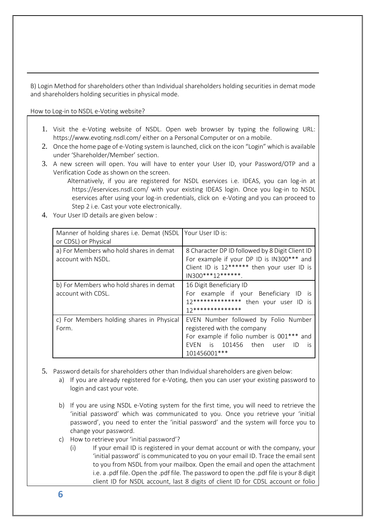B) Login Method for shareholders other than Individual shareholders holding securities in demat mode and shareholders holding securities in physical mode.

How to Log-in to NSDL e-Voting website?

- 1. Visit the e-Voting website of NSDL. Open web browser by typing the following URL: <https://www.evoting.nsdl.com/> either on a Personal Computer or on a mobile.
- 2. Once the home page of e-Voting system is launched, click on the icon "Login" which is available under 'Shareholder/Member' section.
- 3. A new screen will open. You will have to enter your User ID, your Password/OTP and a Verification Code as shown on the screen.

Alternatively, if you are registered for NSDL eservices i.e. IDEAS, you can log-in at <https://eservices.nsdl.com/> with your existing IDEAS login. Once you log-in to NSDL eservices after using your log-in credentials, click on e-Voting and you can proceed to Step 2 i.e. Cast your vote electronically.

4. Your User ID details are given below :

| Manner of holding shares i.e. Demat (NSDL   Your User ID is:<br>or CDSL) or Physical |                                                                                                                                                                             |
|--------------------------------------------------------------------------------------|-----------------------------------------------------------------------------------------------------------------------------------------------------------------------------|
| a) For Members who hold shares in demat<br>account with NSDL.                        | 8 Character DP ID followed by 8 Digit Client ID<br>For example if your DP ID is IN300*** and<br>Client ID is 12****** then your user ID is<br>IN300***12*******.            |
| b) For Members who hold shares in demat<br>account with CDSL.                        | 16 Digit Beneficiary ID<br>For example if your Beneficiary ID is<br>12************** then your user ID is<br>17**************                                               |
| c) For Members holding shares in Physical<br>Form.                                   | EVEN Number followed by Folio Number<br>registered with the company<br>For example if folio number is 001*** and<br>EVEN is 101456 then user<br>ID.<br>- IS<br>101456001*** |

- 5. Password details for shareholders other than Individual shareholders are given below:
	- a) If you are already registered for e-Voting, then you can user your existing password to login and cast your vote.
	- b) If you are using NSDL e-Voting system for the first time, you will need to retrieve the 'initial password' which was communicated to you. Once you retrieve your 'initial password', you need to enter the 'initial password' and the system will force you to change your password.
	- c) How to retrieve your 'initial password'?
		- (i) If your email ID is registered in your demat account or with the company, your 'initial password' is communicated to you on your email ID. Trace the email sent to you from NSDL from your mailbox. Open the email and open the attachment i.e. a .pdf file. Open the .pdf file. The password to open the .pdf file is your 8 digit client ID for NSDL account, last 8 digits of client ID for CDSL account or folio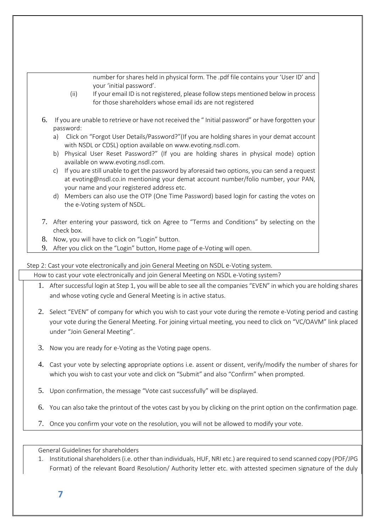number for shares held in physical form. The .pdf file contains your 'User ID' and your 'initial password'.

- (ii) If your email ID is not registered, please follow steps mentioned below in process for those shareholders whose email ids are not registered
- 6. If you are unable to retrieve or have not received the " Initial password" or have forgotten your password:
	- a) Click on "[Forgot User Details/Password?](https://www.evoting.nsdl.com/eVotingWeb/commonhtmls/NewUser.jsp)"(If you are holding shares in your demat account with NSDL or CDSL) option available on www.evoting.nsdl.com.
	- b) [Physical User Reset Password?](https://www.evoting.nsdl.com/eVotingWeb/commonhtmls/PhysicalUser.jsp)" (If you are holding shares in physical mode) option available on [www.evoting.nsdl.com.](http://www.evoting.nsdl.com/)
	- c) If you are still unable to get the password by aforesaid two options, you can send a request at [evoting@nsdl.co.in](mailto:evoting@nsdl.co.in) mentioning your demat account number/folio number, your PAN, your name and your registered address etc.
	- d) Members can also use the OTP (One Time Password) based login for casting the votes on the e-Voting system of NSDL.
- 7. After entering your password, tick on Agree to "Terms and Conditions" by selecting on the check box.
- 8. Now, you will have to click on "Login" button.
- 9. After you click on the "Login" button, Home page of e-Voting will open.

Step 2: Cast your vote electronically and join General Meeting on NSDL e-Voting system.

How to cast your vote electronically and join General Meeting on NSDL e-Voting system?

- 1. After successful login at Step 1, you will be able to see all the companies "EVEN" in which you are holding shares and whose voting cycle and General Meeting is in active status.
- 2. Select "EVEN" of company for which you wish to cast your vote during the remote e-Voting period and casting your vote during the General Meeting. For joining virtual meeting, you need to click on "VC/OAVM" link placed under "Join General Meeting".
- 3. Now you are ready for e-Voting as the Voting page opens.
- 4. Cast your vote by selecting appropriate options i.e. assent or dissent, verify/modify the number of shares for which you wish to cast your vote and click on "Submit" and also "Confirm" when prompted.
- 5. Upon confirmation, the message "Vote cast successfully" will be displayed.
- 6. You can also take the printout of the votes cast by you by clicking on the print option on the confirmation page.
- 7. Once you confirm your vote on the resolution, you will not be allowed to modify your vote.

General Guidelines for shareholders

1. Institutional shareholders (i.e. other than individuals, HUF, NRI etc.) are required to send scanned copy (PDF/JPG Format) of the relevant Board Resolution/ Authority letter etc. with attested specimen signature of the duly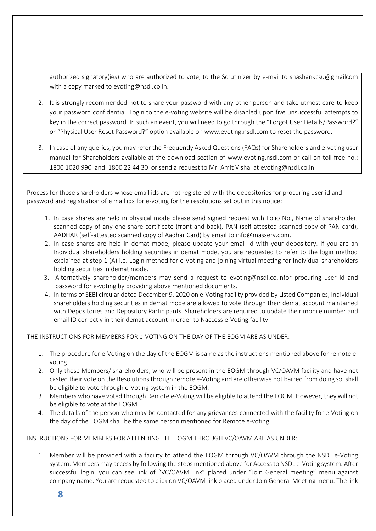authorized signatory(ies) who are authorized to vote, to the Scrutinizer by e-mail to shashankcsu@gmailcom with a copy marked t[o evoting@nsdl.co.in.](mailto:evoting@nsdl.co.in)

- 2. It is strongly recommended not to share your password with any other person and take utmost care to keep your password confidential. Login to the e-voting website will be disabled upon five unsuccessful attempts to key in the correct password. In such an event, you will need to go through the "[Forgot User Details/Password?](https://www.evoting.nsdl.com/eVotingWeb/commonhtmls/NewUser.jsp)" or "[Physical User Reset Password?](https://www.evoting.nsdl.com/eVotingWeb/commonhtmls/PhysicalUser.jsp)" option available on www.evoting.nsdl.com to reset the password.
- 3. In case of any queries, you may refer the Frequently Asked Questions (FAQs) for Shareholders and e-voting user manual for Shareholders available at the download section of [www.evoting.nsdl.com](http://www.evoting.nsdl.com/) or call on toll free no.: 1800 1020 990 and 1800 22 44 30 or send a request to Mr. Amit Vishal a[t evoting@nsdl.co.in](mailto:evoting@nsdl.co.in)

Process for those shareholders whose email ids are not registered with the depositories for procuring user id and password and registration of e mail ids for e-voting for the resolutions set out in this notice:

- 1. In case shares are held in physical mode please send signed request with Folio No., Name of shareholder, scanned copy of any one share certificate (front and back), PAN (self-attested scanned copy of PAN card), AADHAR (self-attested scanned copy of Aadhar Card) by email to info@masserv.com.
- 2. In case shares are held in demat mode, please update your email id with your depository. If you are an Individual shareholders holding securities in demat mode, you are requested to refer to the login method explained at step 1 (A) i.e. Login method for e-Voting and joining virtual meeting for Individual shareholders holding securities in demat mode.
- 3. Alternatively shareholder/members may send a request to [evoting@nsdl.co.inf](mailto:evoting@nsdl.co.in)or procuring user id and password for e-voting by providing above mentioned documents.
- 4. In terms of SEBI circular dated December 9, 2020 on e-Voting facility provided by Listed Companies, Individual shareholders holding securities in demat mode are allowed to vote through their demat account maintained with Depositories and Depository Participants. Shareholders are required to update their mobile number and email ID correctly in their demat account in order to Naccess e-Voting facility.

THE INSTRUCTIONS FOR MEMBERS FOR e-VOTING ON THE DAY OF THE EOGM ARE AS UNDER:-

- 1. The procedure for e-Voting on the day of the EOGM is same as the instructions mentioned above for remote evoting.
- 2. Only those Members/ shareholders, who will be present in the EOGM through VC/OAVM facility and have not casted their vote on the Resolutions through remote e-Voting and are otherwise not barred from doing so, shall be eligible to vote through e-Voting system in the EOGM.
- 3. Members who have voted through Remote e-Voting will be eligible to attend the EOGM. However, they will not be eligible to vote at the EOGM.
- 4. The details of the person who may be contacted for any grievances connected with the facility for e-Voting on the day of the EOGM shall be the same person mentioned for Remote e-voting.

INSTRUCTIONS FOR MEMBERS FOR ATTENDING THE EOGM THROUGH VC/OAVM ARE AS UNDER:

1. Member will be provided with a facility to attend the EOGM through VC/OAVM through the NSDL e-Voting system. Members may access by following the steps mentioned above for Access to NSDL e-Voting system. After successful login, you can see link of "VC/OAVM link" placed under "Join General meeting" menu against company name. You are requested to click on VC/OAVM link placed under Join General Meeting menu. The link